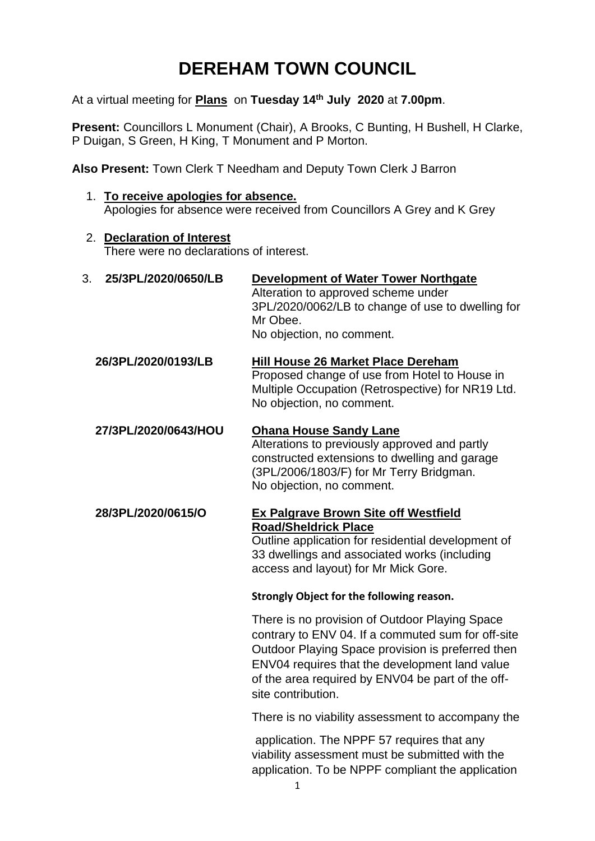# **DEREHAM TOWN COUNCIL**

At a virtual meeting for **Plans** on **Tuesday 14 th July 2020** at **7.00pm**.

**Present: Councillors L Monument (Chair), A Brooks, C Bunting, H Bushell, H Clarke,** P Duigan, S Green, H King, T Monument and P Morton.

**Also Present:** Town Clerk T Needham and Deputy Town Clerk J Barron

- 1. **To receive apologies for absence.**  Apologies for absence were received from Councillors A Grey and K Grey
- 2. **Declaration of Interest**

There were no declarations of interest.

- 3. **25/3PL/2020/0650/LB Development of Water Tower Northgate** Alteration to approved scheme under 3PL/2020/0062/LB to change of use to dwelling for Mr Obee. No objection, no comment.
	- **26/3PL/2020/0193/LB Hill House 26 Market Place Dereham** Proposed change of use from Hotel to House in Multiple Occupation (Retrospective) for NR19 Ltd. No objection, no comment.

## **27/3PL/2020/0643/HOU Ohana House Sandy Lane**

Alterations to previously approved and partly constructed extensions to dwelling and garage (3PL/2006/1803/F) for Mr Terry Bridgman. No objection, no comment.

#### **28/3PL/2020/0615/O Ex Palgrave Brown Site off Westfield Road/Sheldrick Place**

Outline application for residential development of 33 dwellings and associated works (including access and layout) for Mr Mick Gore.

#### **Strongly Object for the following reason.**

There is no provision of Outdoor Playing Space contrary to ENV 04. If a commuted sum for off-site Outdoor Playing Space provision is preferred then ENV04 requires that the development land value of the area required by ENV04 be part of the offsite contribution.

There is no viability assessment to accompany the

application. The NPPF 57 requires that any viability assessment must be submitted with the application. To be NPPF compliant the application